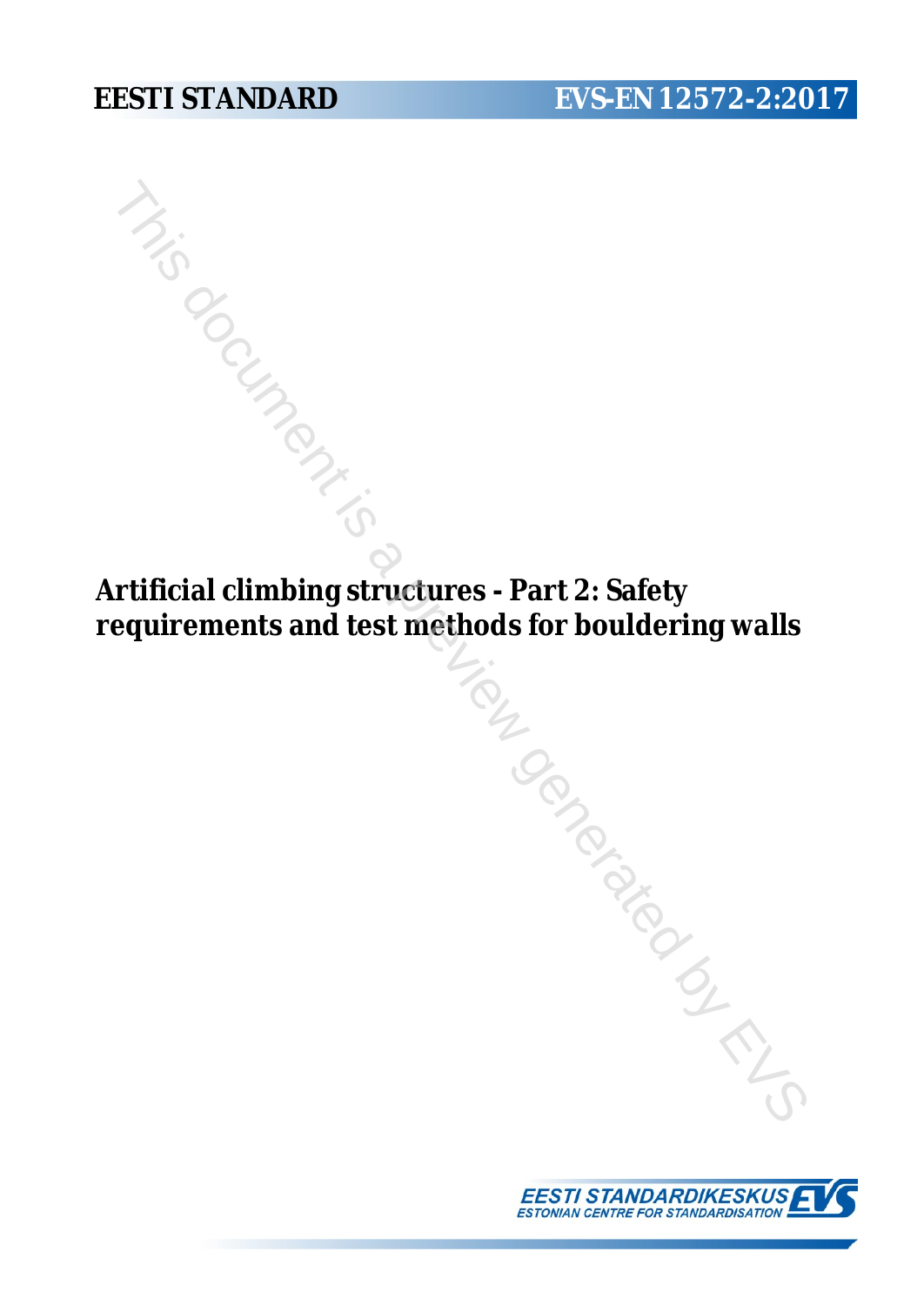**Artificial climbing structures - Part 2: Safety requirements and test methods for bouldering walls** nds .<br>Trip by Branch is a previous comparable is a previous .

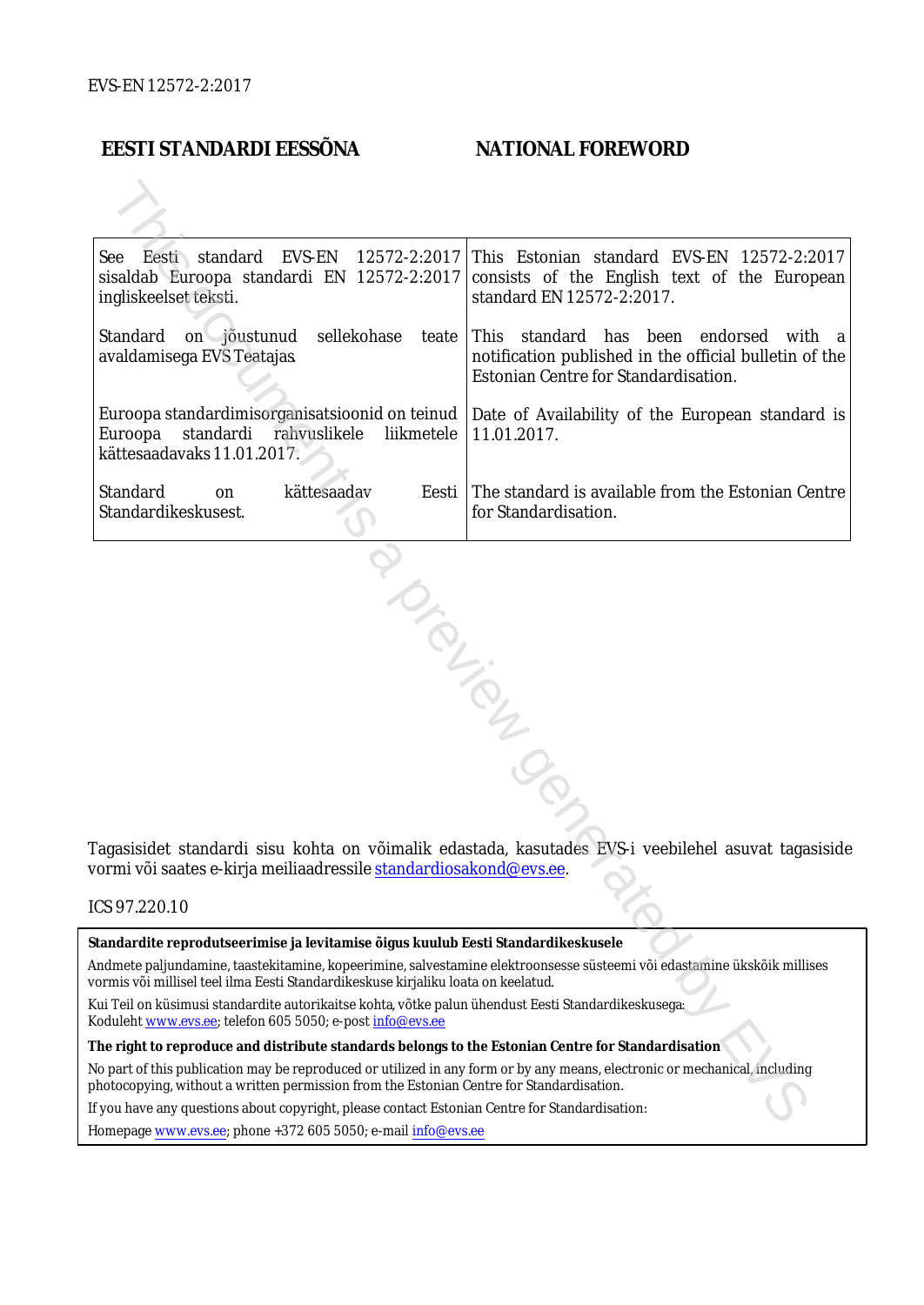#### **EESTI STANDARDI EESSÕNA NATIONAL FOREWORD**

| See Eesti standard<br>EVS-EN<br>12572-2:2017<br>sisaldab Euroopa standardi EN 12572-2:2017<br>ingliskeelset teksti.                                                                                                    | This Estonian standard EVS-EN 12572-2:2017<br>consists of the English text of the European<br>standard EN 12572-2:2017.                     |  |
|------------------------------------------------------------------------------------------------------------------------------------------------------------------------------------------------------------------------|---------------------------------------------------------------------------------------------------------------------------------------------|--|
| Standard<br>sellekohase<br>on jõustunud<br>teate  <br>avaldamisega EVS Teatajas                                                                                                                                        | This standard has been endorsed<br>with a<br>notification published in the official bulletin of the<br>Estonian Centre for Standardisation. |  |
| Euroopa standardimisorganisatsioonid on teinud<br>Euroopa<br>standardi rahvuslikele<br>liikmetele<br>kättesaadavaks 11.01.2017.                                                                                        | Date of Availability of the European standard is<br>11.01.2017.                                                                             |  |
| Standard<br>kättesaadav<br>Eesti<br>on<br>Standardikeskusest.                                                                                                                                                          | The standard is available from the Estonian Centre<br>for Standardisation.                                                                  |  |
| Tagasisidet standardi sisu kohta on võimalik edastada, kasutades EVS-i veebilehel asuvat tagasiside<br>vormi või saates e-kirja meiliaadressile <u>standardiosakond@evs.ee</u> .                                       |                                                                                                                                             |  |
| ICS 97.220.10                                                                                                                                                                                                          |                                                                                                                                             |  |
| Standardite reprodutseerimise ja levitamise õigus kuulub Eesti Standardikeskusele                                                                                                                                      |                                                                                                                                             |  |
| Andmete paljundamine, taastekitamine, kopeerimine, salvestamine elektroonsesse süsteemi või edastamine ükskõik millises<br>vormis või millisel teel ilma Eesti Standardikeskuse kirjaliku loata on keelatud.           |                                                                                                                                             |  |
| .<br>Kui Teil on küsimusi standardite autorikaitse kohta, võtke palun ühendust Eesti Standardikeskusega:<br>Koduleht www.evs.ee; telefon 605 5050; e-post info@evs.ee                                                  |                                                                                                                                             |  |
| The right to reproduce and distribute standards belongs to the Estonian Centre for Standardisation                                                                                                                     |                                                                                                                                             |  |
| No part of this publication may be reproduced or utilized in any form or by any means, electronic or mechanical, including<br>photocopying, without a written permission from the Estonian Centre for Standardisation. |                                                                                                                                             |  |
| If you have any questions about copyright, please contact Estonian Centre for Standardisation:                                                                                                                         |                                                                                                                                             |  |
|                                                                                                                                                                                                                        |                                                                                                                                             |  |

#### ICS 97.220.10

Homepage [www.evs.ee](http://www.evs.ee/); phone +372 605 5050; e-mail info@evs.ee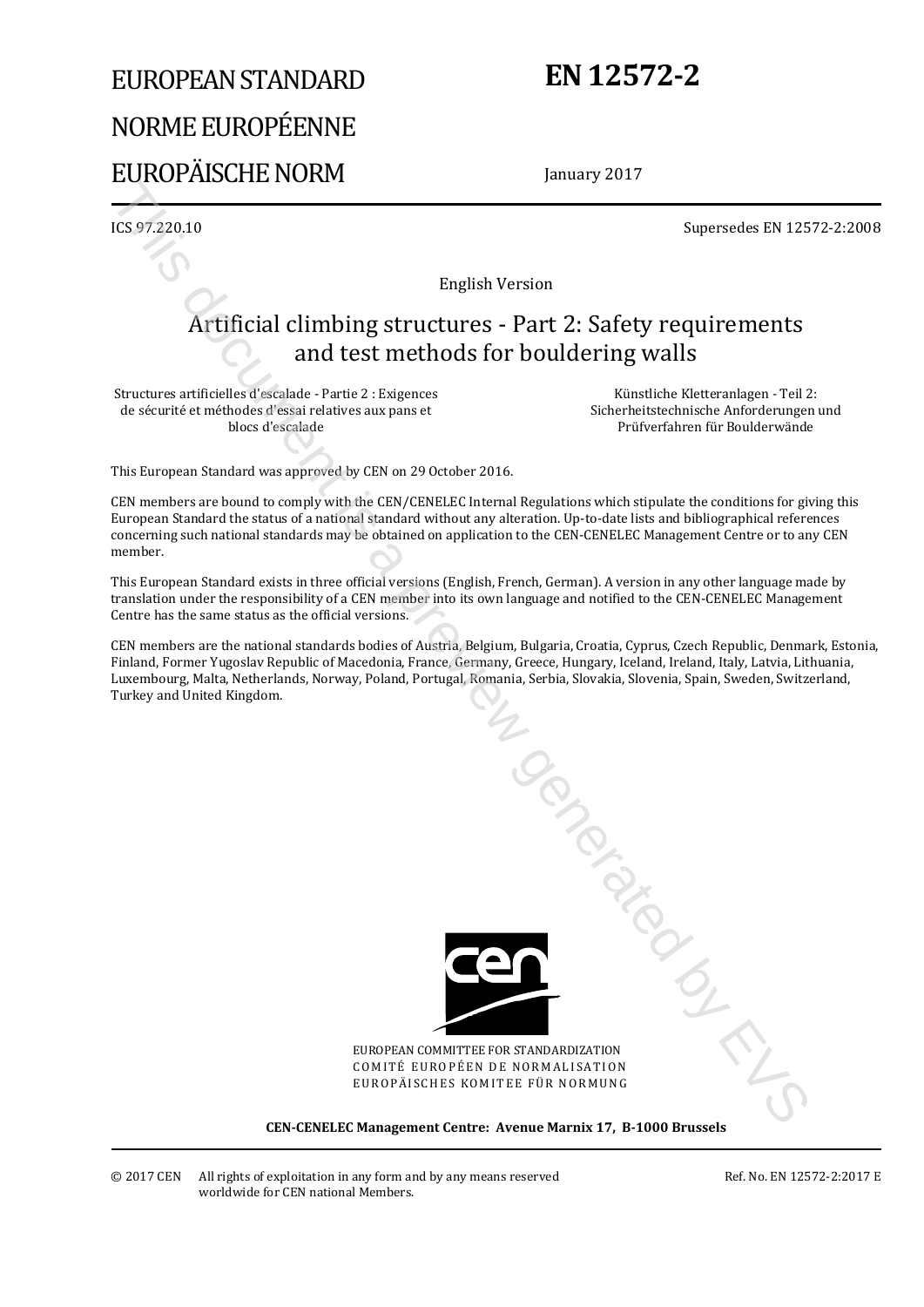# EUROPEAN STANDARD NORME EUROPÉENNE EUROPÄISCHE NORM

## **EN 12572-2**

January 2017

ICS 97.220.10 Supersedes EN 12572-2:2008

English Version

## Artificial climbing structures - Part 2: Safety requirements and test methods for bouldering walls

Structures artificielles d'escalade - Partie 2 : Exigences de sécurité et méthodes d'essai relatives aux pans et blocs d'escalade

Künstliche Kletteranlagen - Teil 2: Sicherheitstechnische Anforderungen und Prüfverfahren für Boulderwände

This European Standard was approved by CEN on 29 October 2016.

CEN members are bound to comply with the CEN/CENELEC Internal Regulations which stipulate the conditions for giving this European Standard the status of a national standard without any alteration. Up-to-date lists and bibliographical references concerning such national standards may be obtained on application to the CEN-CENELEC Management Centre or to any CEN member.

This European Standard exists in three official versions (English, French, German). A version in any other language made by translation under the responsibility of a CEN member into its own language and notified to the CEN-CENELEC Management Centre has the same status as the official versions.

CEN members are the national standards bodies of Austria, Belgium, Bulgaria, Croatia, Cyprus, Czech Republic, Denmark, Estonia, Finland, Former Yugoslav Republic of Macedonia, France, Germany, Greece, Hungary, Iceland, Ireland, Italy, Latvia, Lithuania, Luxembourg, Malta, Netherlands, Norway, Poland, Portugal, Romania, Serbia, Slovakia, Slovenia, Spain, Sweden, Switzerland, Turkey and United Kingdom.



EUROPEAN COMMITTEE FOR STANDARDIZATION COMITÉ EUROPÉEN DE NORMALISATION EUROPÄISCHES KOMITEE FÜR NORMUNG

**CEN-CENELEC Management Centre: Avenue Marnix 17, B-1000 Brussels**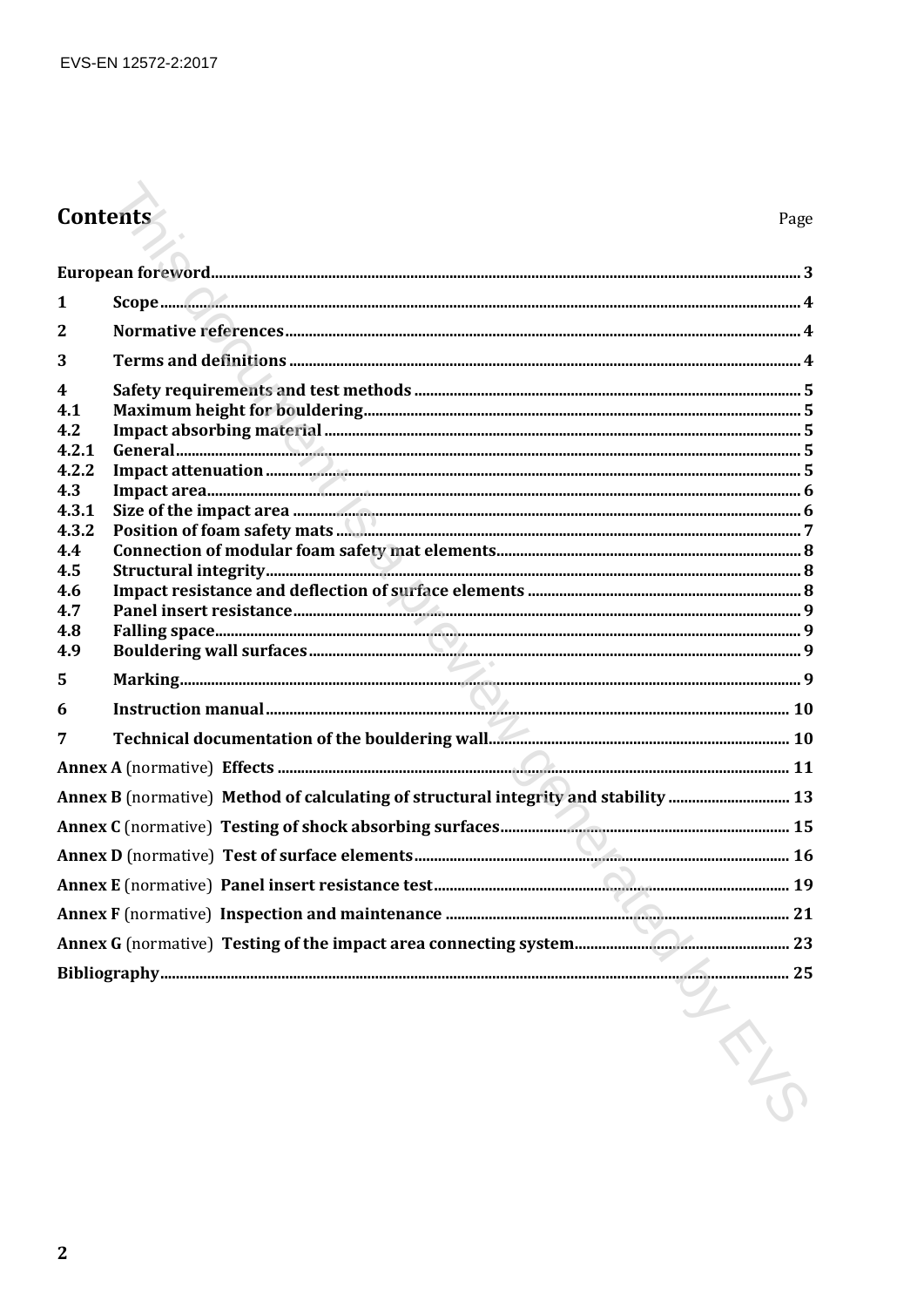# Contents

| 1                       |                                                                                     |  |
|-------------------------|-------------------------------------------------------------------------------------|--|
| $\overline{2}$          |                                                                                     |  |
| 3                       |                                                                                     |  |
| $\overline{\mathbf{4}}$ |                                                                                     |  |
| 4.1                     |                                                                                     |  |
| 4.2                     |                                                                                     |  |
| 4.2.1                   |                                                                                     |  |
| 4.2.2                   |                                                                                     |  |
| 4.3                     |                                                                                     |  |
| 4.3.1                   |                                                                                     |  |
| 4.3.2                   |                                                                                     |  |
| 4.4<br>4.5              |                                                                                     |  |
| 4.6                     |                                                                                     |  |
| 4.7                     |                                                                                     |  |
| 4.8                     |                                                                                     |  |
| 4.9                     |                                                                                     |  |
| 5                       |                                                                                     |  |
| 6                       |                                                                                     |  |
| 7                       |                                                                                     |  |
|                         |                                                                                     |  |
|                         | Annex B (normative) Method of calculating of structural integrity and stability  13 |  |
|                         |                                                                                     |  |
|                         |                                                                                     |  |
|                         |                                                                                     |  |
|                         |                                                                                     |  |
|                         |                                                                                     |  |
|                         | 25                                                                                  |  |
|                         | LANCE                                                                               |  |
|                         |                                                                                     |  |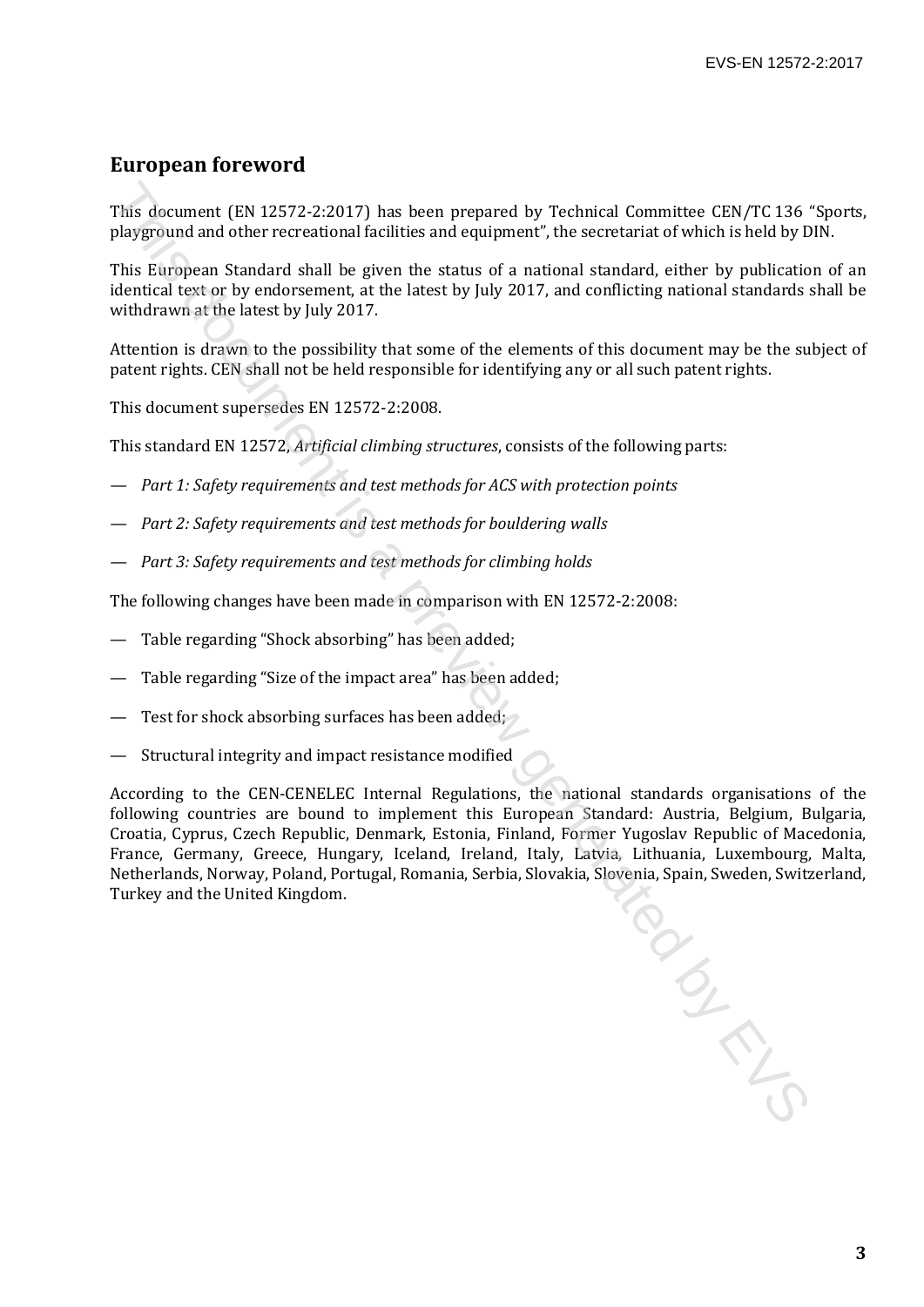### **European foreword**

This document (EN 12572-2:2017) has been prepared by Technical Committee CEN/TC 136 "Sports, playground and other recreational facilities and equipment", the secretariat of which is held by DIN.

This European Standard shall be given the status of a national standard, either by publication of an identical text or by endorsement, at the latest by July 2017, and conflicting national standards shall be withdrawn at the latest by July 2017.

Attention is drawn to the possibility that some of the elements of this document may be the subject of patent rights. CEN shall not be held responsible for identifying any or all such patent rights.

This document supersedes EN 12572-2:2008.

This standard EN 12572, *Artificial climbing structures*, consists of the following parts:

- *Part 1: Safety requirements and test methods for ACS with protection points*
- *Part 2: Safety requirements and test methods for bouldering walls*
- *Part 3: Safety requirements and test methods for climbing holds*

The following changes have been made in comparison with EN 12572-2:2008:

- Table regarding "Shock absorbing" has been added;
- Table regarding "Size of the impact area" has been added;
- Test for shock absorbing surfaces has been added;
- Structural integrity and impact resistance modified

According to the CEN-CENELEC Internal Regulations, the national standards organisations of the following countries are bound to implement this European Standard: Austria, Belgium, Bulgaria, Croatia, Cyprus, Czech Republic, Denmark, Estonia, Finland, Former Yugoslav Republic of Macedonia, France, Germany, Greece, Hungary, Iceland, Ireland, Italy, Latvia, Lithuania, Luxembourg, Malta, Netherlands, Norway, Poland, Portugal, Romania, Serbia, Slovakia, Slovenia, Spain, Sweden, Switzerland, Turkey and the United Kingdom. This document (EN 12572-2:2017) has been prepared by Technical Committee CEN/TC 136<br>phyground and other recreational facilities and equipment", the secretariat of which is held by D<br>fits European Standard shall be given t